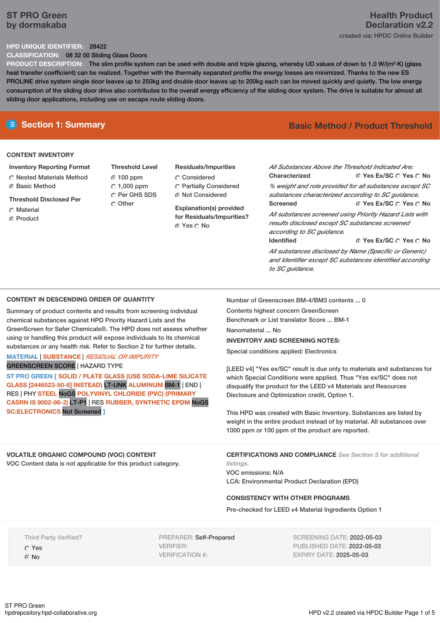# **ST PRO Green by dormakaba**

#### **HPD UNIQUE IDENTIFIER:** 28422

**CLASSIFICATION:** 08 32 00 Sliding Glass Doors

**PRODUCT DESCRIPTION:** The slim profile system can be used with double and triple glazing, whereby UD values of down to 1.0 W/(m²·K) (glass heat transfer coefficient) can be realized. Together with the thermally separated profile the energy losses are minimized. Thanks to the new ES PROLINE drive system single door leaves up to 250kg and double door leaves up to 200kg each can be moved quickly and quietly. The low energy consumption of the sliding door drive also contributes to the overall energy efficiency of the sliding door system. The drive is suitable for almost all sliding door applications, including use on escape route sliding doors.

#### **CONTENT INVENTORY**

- **Inventory Reporting Format**
- Nested Materials Method
- **G** Basic Method
- **Threshold Disclosed Per**
- Material
- C Product

**Threshold Level** 100 ppm  $\degree$  1,000 ppm C Per GHS SDS Other

## **Residuals/Impurities** Considered

Partially Considered ⊙ Not Considered

**Explanation(s) provided for Residuals/Impurities?** ⊙ Yes O No

# **E** Section 1: Summary **Basic Method /** Product Threshold

**Yes Ex/SC Yes No Yes Ex/SC Yes No Yes Ex/SC Yes No** *All Substances Above the Threshold Indicated Are:* **Characterized** *% weight and role provided for all substances except SC substances characterized according to SC guidance.* **Screened** *All substances screened using Priority Hazard Lists with results disclosed except SC substances screened according to SC guidance.* **Identified** *All substances disclosed by Name (Specific or Generic)*

*and Identifier except SC substances identified according*

**CONTENT IN DESCENDING ORDER OF QUANTITY**

Summary of product contents and results from screening individual chemical substances against HPD Priority Hazard Lists and the GreenScreen for Safer Chemicals®. The HPD does not assess whether using or handling this product will expose individuals to its chemical substances or any health risk. Refer to Section 2 for further details.

## **MATERIAL** | **SUBSTANCE** | *RESIDUAL OR IMPURITY* GREENSCREEN SCORE | HAZARD TYPE

**ST PRO GREEN [ SOLID / PLATE GLASS (USE SODA-LIME SILICATE GLASS [2446523-50-6] INSTEAD)** LT-UNK **ALUMINUM** BM-1 | END | RES | PHY **STEEL** NoGS **POLYVINYL CHLORIDE (PVC) (PRIMARY CASRN IS 9002-86-2)** LT-P1 | RES **RUBBER, SYNTHETIC EPDM** NoGS **SC:ELECTRONICS** Not Screened **]**

### **VOLATILE ORGANIC COMPOUND (VOC) CONTENT**

VOC Content data is not applicable for this product category.

Number of Greenscreen BM-4/BM3 contents ... 0

Contents highest concern GreenScreen Benchmark or List translator Score ... BM-1

*to SC guidance.*

Nanomaterial No.

# **INVENTORY AND SCREENING NOTES:**

Special conditions applied: Electronics

[LEED v4] "Yes ex/SC" result is due only to materials and substances for which Special Conditions were applied. Thus "Yes ex/SC" does not disqualify the product for the LEED v4 Materials and Resources Disclosure and Optimization credit, Option 1.

This HPD was created with Basic Inventory. Substances are listed by weight in the entire product instead of by material. All substances over 1000 ppm or 100 ppm of the product are reported.

**CERTIFICATIONS AND COMPLIANCE** *See Section 3 for additional listings.*

VOC emissions: N/A LCA: Environmental Product Declaration (EPD)

### **CONSISTENCY WITH OTHER PROGRAMS**

Pre-checked for LEED v4 Material Ingredients Option 1

Third Party Verified? Yes G No

PREPARER: Self-Prepared VERIFIER: VERIFICATION #:

SCREENING DATE: 2022-05-03 PUBLISHED DATE: 2022-05-03 EXPIRY DATE: 2025-05-03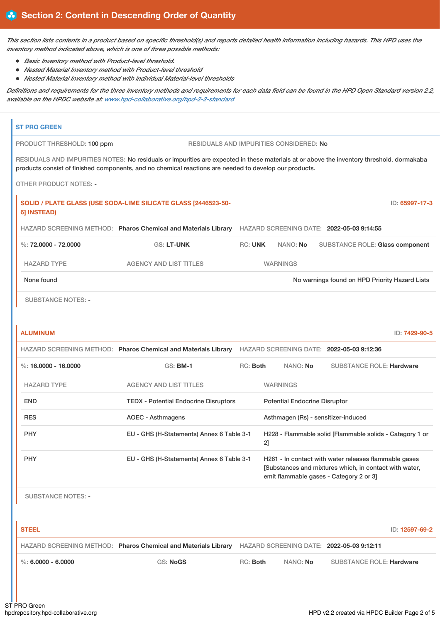This section lists contents in a product based on specific threshold(s) and reports detailed health information including hazards. This HPD uses the *inventory method indicated above, which is one of three possible methods:*

- *Basic Inventory method with Product-level threshold.*
- *Nested Material Inventory method with Product-level threshold*
- *Nested Material Inventory method with individual Material-level thresholds*

Definitions and requirements for the three inventory methods and requirements for each data field can be found in the HPD Open Standard version 2.2, *available on the HPDC website at: [www.hpd-collaborative.org/hpd-2-2-standard](https://www.hpd-collaborative.org/hpd-2-2-standard)*

| <b>ST PRO GREEN</b>           |                                                                                                                                                                                                                                                     |                |                                      |                                                                                                                                                            |                |
|-------------------------------|-----------------------------------------------------------------------------------------------------------------------------------------------------------------------------------------------------------------------------------------------------|----------------|--------------------------------------|------------------------------------------------------------------------------------------------------------------------------------------------------------|----------------|
| PRODUCT THRESHOLD: 100 ppm    | RESIDUALS AND IMPURITIES CONSIDERED: No                                                                                                                                                                                                             |                |                                      |                                                                                                                                                            |                |
|                               | RESIDUALS AND IMPURITIES NOTES: No residuals or impurities are expected in these materials at or above the inventory threshold. dormakaba<br>products consist of finished components, and no chemical reactions are needed to develop our products. |                |                                      |                                                                                                                                                            |                |
| <b>OTHER PRODUCT NOTES: -</b> |                                                                                                                                                                                                                                                     |                |                                      |                                                                                                                                                            |                |
| 6] INSTEAD)                   | SOLID / PLATE GLASS (USE SODA-LIME SILICATE GLASS [2446523-50-                                                                                                                                                                                      |                |                                      |                                                                                                                                                            | ID: 65997-17-3 |
|                               | HAZARD SCREENING METHOD: Pharos Chemical and Materials Library HAZARD SCREENING DATE: 2022-05-03 9:14:55                                                                                                                                            |                |                                      |                                                                                                                                                            |                |
| %: $72,0000 - 72,0000$        | <b>GS: LT-UNK</b>                                                                                                                                                                                                                                   | <b>RC: UNK</b> | NANO: No                             | <b>SUBSTANCE ROLE: Glass component</b>                                                                                                                     |                |
| <b>HAZARD TYPE</b>            | <b>AGENCY AND LIST TITLES</b>                                                                                                                                                                                                                       |                | <b>WARNINGS</b>                      |                                                                                                                                                            |                |
| None found                    |                                                                                                                                                                                                                                                     |                |                                      | No warnings found on HPD Priority Hazard Lists                                                                                                             |                |
| <b>SUBSTANCE NOTES: -</b>     |                                                                                                                                                                                                                                                     |                |                                      |                                                                                                                                                            |                |
|                               |                                                                                                                                                                                                                                                     |                |                                      |                                                                                                                                                            |                |
|                               |                                                                                                                                                                                                                                                     |                |                                      |                                                                                                                                                            |                |
| <b>ALUMINUM</b>               |                                                                                                                                                                                                                                                     |                |                                      |                                                                                                                                                            | ID: 7429-90-5  |
|                               | HAZARD SCREENING METHOD: Pharos Chemical and Materials Library                                                                                                                                                                                      |                |                                      | HAZARD SCREENING DATE: 2022-05-03 9:12:36                                                                                                                  |                |
| %: 16,0000 - 16,0000          | <b>GS: BM-1</b>                                                                                                                                                                                                                                     | RC: Both       | NANO: No                             | <b>SUBSTANCE ROLE: Hardware</b>                                                                                                                            |                |
| <b>HAZARD TYPE</b>            | <b>AGENCY AND LIST TITLES</b>                                                                                                                                                                                                                       |                | <b>WARNINGS</b>                      |                                                                                                                                                            |                |
| <b>END</b>                    | <b>TEDX - Potential Endocrine Disruptors</b>                                                                                                                                                                                                        |                | <b>Potential Endocrine Disruptor</b> |                                                                                                                                                            |                |
| <b>RES</b>                    | <b>AOEC - Asthmagens</b>                                                                                                                                                                                                                            |                |                                      | Asthmagen (Rs) - sensitizer-induced                                                                                                                        |                |
| <b>PHY</b>                    | EU - GHS (H-Statements) Annex 6 Table 3-1                                                                                                                                                                                                           | 2]             |                                      | H228 - Flammable solid [Flammable solids - Category 1 or                                                                                                   |                |
| <b>PHY</b>                    | EU - GHS (H-Statements) Annex 6 Table 3-1                                                                                                                                                                                                           |                |                                      | H261 - In contact with water releases flammable gases<br>[Substances and mixtures which, in contact with water,<br>emit flammable gases - Category 2 or 3] |                |

| <b>STEEL</b>       |                                                                                                          |            |                 |                          | ID: 12597-69-2 |
|--------------------|----------------------------------------------------------------------------------------------------------|------------|-----------------|--------------------------|----------------|
|                    | HAZARD SCREENING METHOD: Pharos Chemical and Materials Library HAZARD SCREENING DATE: 2022-05-03 9:12:11 |            |                 |                          |                |
| %: 6.0000 - 6.0000 | <b>GS: NoGS</b>                                                                                          | $RC:$ Both | NANO: <b>No</b> | SUBSTANCE ROLE: Hardware |                |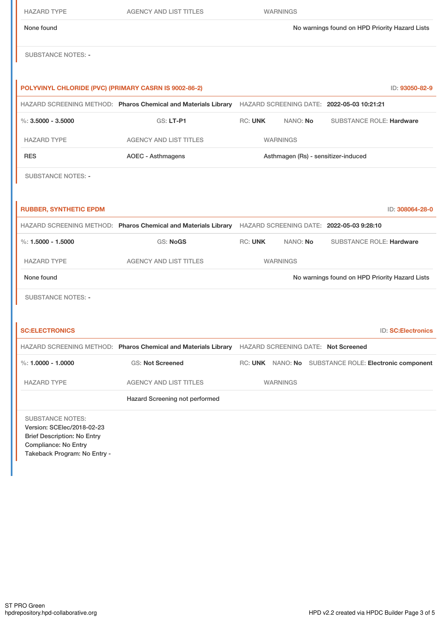| <b>HAZARD TYPE</b>                                                                                                                                         | <b>AGENCY AND LIST TITLES</b>                                                                            |                                                | <b>WARNINGS</b>                            |                                                       |  |
|------------------------------------------------------------------------------------------------------------------------------------------------------------|----------------------------------------------------------------------------------------------------------|------------------------------------------------|--------------------------------------------|-------------------------------------------------------|--|
| None found                                                                                                                                                 |                                                                                                          | No warnings found on HPD Priority Hazard Lists |                                            |                                                       |  |
| <b>SUBSTANCE NOTES: -</b>                                                                                                                                  |                                                                                                          |                                                |                                            |                                                       |  |
| POLYVINYL CHLORIDE (PVC) (PRIMARY CASRN IS 9002-86-2)                                                                                                      |                                                                                                          |                                                |                                            | ID: 93050-82-9                                        |  |
|                                                                                                                                                            | HAZARD SCREENING METHOD: Pharos Chemical and Materials Library                                           |                                                |                                            | HAZARD SCREENING DATE: 2022-05-03 10:21:21            |  |
| $\%$ : 3.5000 - 3.5000                                                                                                                                     | GS: LT-P1                                                                                                | <b>RC: UNK</b>                                 | NANO: No                                   | <b>SUBSTANCE ROLE: Hardware</b>                       |  |
| <b>HAZARD TYPE</b>                                                                                                                                         | <b>AGENCY AND LIST TITLES</b>                                                                            | <b>WARNINGS</b>                                |                                            |                                                       |  |
| <b>RES</b>                                                                                                                                                 | <b>AOEC - Asthmagens</b>                                                                                 | Asthmagen (Rs) - sensitizer-induced            |                                            |                                                       |  |
| <b>SUBSTANCE NOTES: -</b>                                                                                                                                  |                                                                                                          |                                                |                                            |                                                       |  |
|                                                                                                                                                            |                                                                                                          |                                                |                                            |                                                       |  |
| <b>RUBBER, SYNTHETIC EPDM</b>                                                                                                                              |                                                                                                          |                                                |                                            | ID: 308064-28-0                                       |  |
|                                                                                                                                                            | HAZARD SCREENING METHOD: Pharos Chemical and Materials Library HAZARD SCREENING DATE: 2022-05-03 9:28:10 |                                                |                                            |                                                       |  |
| %: $1.5000 - 1.5000$                                                                                                                                       | <b>GS: NoGS</b>                                                                                          | <b>RC: UNK</b>                                 | NANO: No                                   | <b>SUBSTANCE ROLE: Hardware</b>                       |  |
| <b>HAZARD TYPE</b>                                                                                                                                         | <b>AGENCY AND LIST TITLES</b>                                                                            |                                                | <b>WARNINGS</b>                            |                                                       |  |
| None found                                                                                                                                                 |                                                                                                          |                                                |                                            | No warnings found on HPD Priority Hazard Lists        |  |
| <b>SUBSTANCE NOTES: -</b>                                                                                                                                  |                                                                                                          |                                                |                                            |                                                       |  |
|                                                                                                                                                            |                                                                                                          |                                                |                                            |                                                       |  |
| <b>SC:ELECTRONICS</b>                                                                                                                                      |                                                                                                          |                                                |                                            | <b>ID: SC:Electronics</b>                             |  |
|                                                                                                                                                            | HAZARD SCREENING METHOD: Pharos Chemical and Materials Library                                           |                                                | <b>HAZARD SCREENING DATE: Not Screened</b> |                                                       |  |
| $\%$ : 1.0000 - 1.0000                                                                                                                                     | <b>GS: Not Screened</b>                                                                                  |                                                |                                            | RC: UNK NANO: No SUBSTANCE ROLE: Electronic component |  |
| <b>HAZARD TYPE</b>                                                                                                                                         | <b>AGENCY AND LIST TITLES</b>                                                                            |                                                | <b>WARNINGS</b>                            |                                                       |  |
|                                                                                                                                                            | Hazard Screening not performed                                                                           |                                                |                                            |                                                       |  |
| <b>SUBSTANCE NOTES:</b><br>Version: SCElec/2018-02-23<br><b>Brief Description: No Entry</b><br><b>Compliance: No Entry</b><br>Takeback Program: No Entry - |                                                                                                          |                                                |                                            |                                                       |  |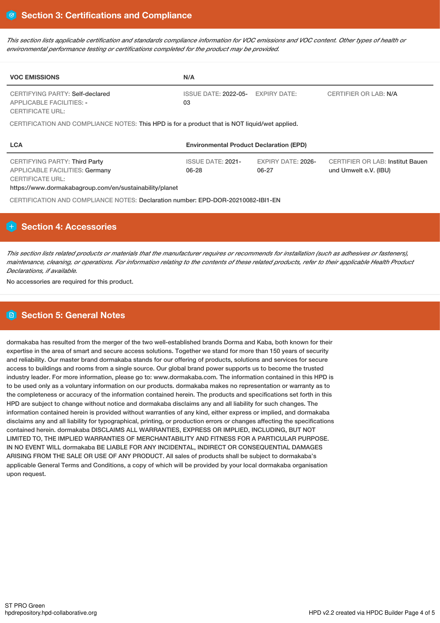This section lists applicable certification and standards compliance information for VOC emissions and VOC content. Other types of health or *environmental performance testing or certifications completed for the product may be provided.*

| <b>VOC EMISSIONS</b>                                                                                 | N/A                                            |                           |                                         |  |  |  |
|------------------------------------------------------------------------------------------------------|------------------------------------------------|---------------------------|-----------------------------------------|--|--|--|
| <b>CERTIFYING PARTY: Self-declared</b><br><b>APPLICABLE FACILITIES: -</b><br><b>CERTIFICATE URL:</b> | ISSUE DATE: 2022-05- EXPIRY DATE:<br>03        |                           | <b>CERTIFIER OR LAB: N/A</b>            |  |  |  |
| CERTIFICATION AND COMPLIANCE NOTES: This HPD is for a product that is NOT liquid/wet applied.        |                                                |                           |                                         |  |  |  |
| <b>LCA</b>                                                                                           | <b>Environmental Product Declaration (EPD)</b> |                           |                                         |  |  |  |
| CERTIFYING PARTY: Third Party                                                                        | <b>ISSUE DATE: 2021-</b>                       | <b>EXPIRY DATE: 2026-</b> | <b>CERTIFIER OR LAB: Institut Bauen</b> |  |  |  |

06-27

und Umwelt e.V. (IBU)

APPLICABLE FACILITIES: Germany CERTIFICATE URL:

https://www.dormakabagroup.com/en/sustainability/planet

CERTIFICATION AND COMPLIANCE NOTES: Declaration number: EPD-DOR-20210082-IBI1-EN

# **Section 4: Accessories**

This section lists related products or materials that the manufacturer requires or recommends for installation (such as adhesives or fasteners), maintenance, cleaning, or operations. For information relating to the contents of these related products, refer to their applicable Health Product *Declarations, if available.*

06-28

No accessories are required for this product.

# **Section 5: General Notes**

dormakaba has resulted from the merger of the two well-established brands Dorma and Kaba, both known for their expertise in the area of smart and secure access solutions. Together we stand for more than 150 years of security and reliability. Our master brand dormakaba stands for our offering of products, solutions and services for secure access to buildings and rooms from a single source. Our global brand power supports us to become the trusted industry leader. For more information, please go to: www.dormakaba.com. The information contained in this HPD is to be used only as a voluntary information on our products. dormakaba makes no representation or warranty as to the completeness or accuracy of the information contained herein. The products and specifications set forth in this HPD are subject to change without notice and dormakaba disclaims any and all liability for such changes. The information contained herein is provided without warranties of any kind, either express or implied, and dormakaba disclaims any and all liability for typographical, printing, or production errors or changes affecting the specifications contained herein. dormakaba DISCLAIMS ALL WARRANTIES, EXPRESS OR IMPLIED, INCLUDING, BUT NOT LIMITED TO, THE IMPLIED WARRANTIES OF MERCHANTABILITY AND FITNESS FOR A PARTICULAR PURPOSE. IN NO EVENT WILL dormakaba BE LIABLE FOR ANY INCIDENTAL, INDIRECT OR CONSEQUENTIAL DAMAGES ARISING FROM THE SALE OR USE OF ANY PRODUCT. All sales of products shall be subject to dormakaba's applicable General Terms and Conditions, a copy of which will be provided by your local dormakaba organisation upon request.